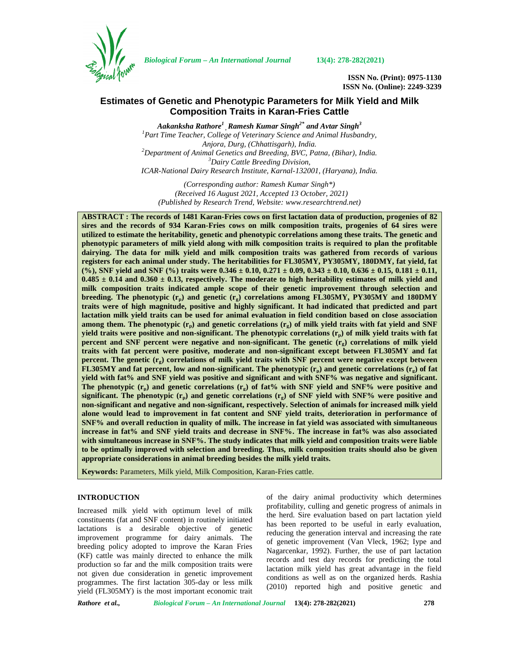

*Biological Forum – An International Journal* **13(4): 278-282(2021)**

**ISSN No. (Print): 0975-1130 ISSN No. (Online): 2249-3239**

# **Estimates of Genetic and Phenotypic Parameters for Milk Yield and Milk Composition Traits in Karan-Fries Cattle**

*Aakanksha Rathore<sup>1</sup> ,Ramesh Kumar Singh2\* and Avtar Singh<sup>3</sup> <sup>1</sup>Part Time Teacher, College of Veterinary Science and Animal Husbandry, Anjora, Durg, (Chhattisgarh), India. <sup>2</sup>Department of Animal Genetics and Breeding, BVC, Patna, (Bihar), India. <sup>3</sup>Dairy Cattle Breeding Division, ICAR-National Dairy Research Institute, Karnal-132001, (Haryana), India.*

*(Corresponding author: Ramesh Kumar Singh\*) (Received 16 August 2021, Accepted 13 October, 2021) (Published by Research Trend, Website: [www.researchtrend.net\)](www.researchtrend.net)*

**ABSTRACT : The records of 1481 Karan-Fries cows on first lactation data of production, progenies of 82 sires and the records of 934 Karan-Fries cows on milk composition traits, progenies of 64 sires were utilized to estimate the heritability, genetic and phenotypic correlations among these traits. The genetic and phenotypic parameters of milk yield along with milk composition traits is required to plan the profitable dairying. The data for milk yield and milk composition traits was gathered from records of various registers for each animal under study. The heritabilities for FL305MY, PY305MY, 180DMY, fat yield, fat (%), SNF yield and SNF (%) traits were 0.346 ± 0.10, 0.271 ± 0.09, 0.343 ± 0.10, 0.636 ± 0.15, 0.181 ± 0.11,**  $0.485 \pm 0.14$  and  $0.360 \pm 0.13$ , respectively. The moderate to high heritability estimates of milk yield and **milk composition traits indicated ample scope of their genetic improvement through selection and breeding. The phenotypic (rp) and genetic (rg) correlations among FL305MY, PY305MY and 180DMY traits were of high magnitude, positive and highly significant. It had indicated that predicted and part lactation milk yield traits can be used for animal evaluation in field condition based on close association among them. The phenotypic (rp) and genetic correlations (rg) of milk yield traits with fat yield and SNF yield traits were positive and non-significant. The phenotypic correlations (rp) of milk yield traits with fat percent and SNF percent were negative and non-significant. The genetic (rg) correlations of milk yield traits with fat percent were positive, moderate and non-significant except between FL305MY and fat percent. The genetic (rg) correlations of milk yield traits with SNF percent were negative except between FL305MY and fat percent, low and non-significant. The phenotypic (rp) and genetic correlations (rg) of fat yield with fat% and SNF yield was positive and significant and with SNF% was negative and significant.** The phenotypic  $(r_n)$  and genetic correlations  $(r_o)$  of fat% with SNF yield and SNF% were positive and **significant. The phenotypic (rp) and genetic correlations (rg) of SNF yield with SNF% were positive and non-significant and negative and non-significant, respectively. Selection of animals for increased milk yield alone would lead to improvement in fat content and SNF yield traits, deterioration in performance of SNF% and overall reduction in quality of milk. The increase in fat yield was associated with simultaneous increase in fat% and SNF yield traits and decrease in SNF%. The increase in fat% was also associated with simultaneous increase in SNF%. The study indicates that milk yield and composition traits were liable to be optimally improved with selection and breeding. Thus, milk composition traits should also be given appropriate considerations in animal breeding besides the milk yield traits.**

**Keywords:** Parameters, Milk yield, Milk Composition, Karan-Fries cattle.

# **INTRODUCTION**

Increased milk yield with optimum level of milk constituents (fat and SNF content) in routinely initiated lactations is a desirable objective of genetic improvement programme for dairy animals. The breeding policy adopted to improve the Karan Fries (KF) cattle was mainly directed to enhance the milk production so far and the milk composition traits were not given due consideration in genetic improvement programmes. The first lactation 305-day or less milk yield (FL305MY) is the most important economic trait of the dairy animal productivity which determines profitability, culling and genetic progress of animals in the herd. Sire evaluation based on part lactation yield has been reported to be useful in early evaluation, reducing the generation interval and increasing the rate of genetic improvement (Van Vleck, 1962; Iype and Nagarcenkar, 1992). Further, the use of part lactation records and test day records for predicting the total lactation milk yield has great advantage in the field conditions as well as on the organized herds. Rashia (2010) reported high and positive genetic and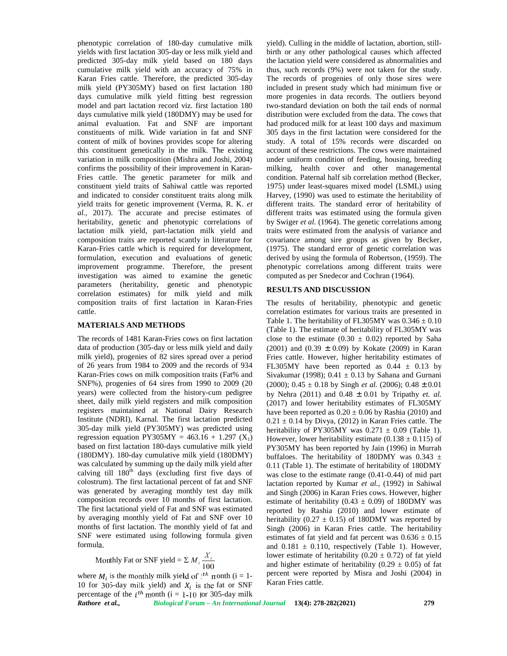phenotypic correlation of 180-day cumulative milk yields with first lactation 305-day or less milk yield and predicted 305-day milk yield based on 180 days cumulative milk yield with an accuracy of 75% in Karan Fries cattle. Therefore, the predicted 305-day milk yield (PY305MY) based on first lactation 180 days cumulative milk yield fitting best regression model and part lactation record viz. first lactation 180 days cumulative milk yield (180DMY) may be used for animal evaluation. Fat and SNF are important constituents of milk. Wide variation in fat and SNF content of milk of bovines provides scope for altering this constituent genetically in the milk. The existing variation in milk composition (Mishra and Joshi, 2004) confirms the possibility of their improvement in Karan- Fries cattle. The genetic parameter for milk and constituent yield traits of Sahiwal cattle was reported and indicated to consider constituent traits along milk yield traits for genetic improvement (Verma, R. K. *et al.,* 2017). The accurate and precise estimates of heritability, genetic and phenotypic correlations of lactation milk yield, part-lactation milk yield and composition traits are reported scantly in literature for Karan-Fries cattle which is required for development, formulation, execution and evaluations of genetic improvement programme. Therefore, the present investigation was aimed to examine the genetic parameters (heritability, genetic and phenotypic correlation estimates) for milk yield and milk composition traits of first lactation in Karan-Fries cattle.

#### **MATERIALS AND METHODS**

The records of 1481 Karan-Fries cows on first lactation data of production (305-day or less milk yield and daily milk yield), progenies of 82 sires spread over a period of 26 years from 1984 to 2009 and the records of 934 Karan-Fries cows on milk composition traits (Fat% and SNF%), progenies of 64 sires from 1990 to 2009 (20 years) were collected from the history-cum pedigree sheet, daily milk yield registers and milk composition registers maintained at National Dairy Research Institute (NDRI), Karnal. The first lactation predicted 305-day milk yield (PY305MY) was predicted using regression equation PY305MY =  $463.16 + 1.297$  (X<sub>1</sub>) based on first lactation 180-days cumulative milk yield (180DMY). 180-day cumulative milk yield (180DMY) was calculated by summing up the daily milk yield after calving till 180<sup>th</sup> days (excluding first five days of colostrum). The first lactational percent of fat and SNF was generated by averaging monthly test day milk composition records over 10 months of first lactation. The first lactational yield of Fat and SNF was estimated by averaging monthly yield of Fat and SNF over 10 months of first lactation. The monthly yield of fat and SNF were estimated using following formula given formula. years from 1984 to 2019 and other a period Free scatte. However<br>years from 1984 to 2009 and the records of 934 FL305MY have the Fries couse on milk composition traits (Fat% and Sivakumar (1998);<br>b), progenies of 64 sires

Monthly Fat or SNF yield = 
$$
\sum M_i \frac{X_i}{100}
$$

where  $M_i$  is the monthly milk yield of  $i^{th}$  month (i = 1-10 for 305-day milk yield) and  $X_i$  is the fat or SNF percentage of the  $i<sup>th</sup>$  month (i = 1-10 for 305-day milk

yield). Culling in the middle of lactation, abortion, still birth or any other pathological causes which affected the lactation yield were considered as abnormalities and thus, such records (9%) were not taken for the study. The records of progenies of only those sires were included in present study which had minimum five or more progenies in data records. The outliers beyond two-standard deviation on both the tail ends of normal distribution were excluded from the data. The cows that had produced milk for at least 100 days and maximum 305 days in the first lactation were considered for the study. A total of 15% records were discarded on account of these restrictions. The cows were maintained under uniform condition of feeding, housing, breeding milking, health cover and other managemental condition. Paternal half sib correlation method (Becker, 1975) under least-squares mixed model (LSML) using Harvey, (1990) was used to estimate the heritability of different traits. The standard error of heritability of different traits was estimated using the formula given by Swiger *et al.* (1964). The genetic correlations among traits were estimated from the analysis of variance and covariance among sire groups as given by Becker, (1975). The standard error of genetic correlation was derived by using the formula of Robertson, (1959). The phenotypic correlations among different traits were computed as per Snedecor and Cochran (1964).

# **RESULTS AND DISCUSSION**

 $\frac{X_i}{100}$  lower estimate of heritability (0.20 ± 0.72) of fat yield  $\sum M_i \frac{\Delta T_i}{100}$  hower estimate of heritability (0.29 ± 0.05) of fat The results of heritability, phenotypic and genetic correlation estimates for various traits are presented in Table 1. The heritability of FL305MY was  $0.346 \pm 0.10$ (Table 1). The estimate of heritability of FL305MY was close to the estimate  $(0.30 \pm 0.02)$  reported by Saha (2001) and  $(0.39 \pm 0.09)$  by Kokate (2009) in Karan Fries cattle. However, higher heritability estimates of FL305MY have been reported as  $0.44 \pm 0.13$  by Sivakumar (1998);  $0.41 \pm 0.13$  by Sahana and Gurnani (2000);  $0.45 \pm 0.18$  by Singh *et al.* (2006);  $0.48 \pm 0.01$ by Nehra (2011) and 0.48 ± 0.01 by Tripathy *et. al.* (2017) and lower heritability estimates of FL305MY have been reported as  $0.20 \pm 0.06$  by Rashia (2010) and  $0.21 \pm 0.14$  by Divya, (2012) in Karan Fries cattle. The heritability of PY305MY was  $0.271 \pm 0.09$  (Table 1). However, lower heritability estimate (0.138  $\pm$  0.115) of PY305MY has been reported by Jain (1996) in Murrah buffaloes. The heritability of 180DMY was 0.343  $\pm$ 0.11 (Table 1). The estimate of heritability of 180DMY was close to the estimate range (0.41-0.44) of mid part lactation reported by Kumar *et al.,* (1992) in Sahiwal and Singh (2006) in Karan Fries cows. However, higher estimate of heritability (0.43  $\pm$  0.09) of 180DMY was reported by Rashia (2010) and lower estimate of heritability (0.27  $\pm$  0.15) of 180DMY was reported by Singh (2006) in Karan Fries cattle. The heritability estimates of fat yield and fat percent was  $0.636 \pm 0.15$ and  $0.181 \pm 0.110$ , respectively (Table 1). However, percent were reported by Misra and Joshi (2004) in Karan Fries cattle.

*Rathore et al., Biological Forum – An International Journal* **13(4): 278-282(2021) 279**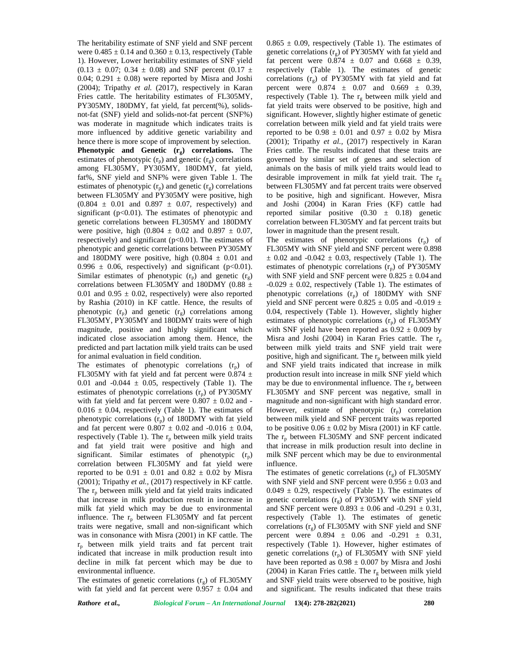The heritability estimate of SNF yield and SNF percent were  $0.485 \pm 0.14$  and  $0.360 \pm 0.13$ , respectively (Table 1). However, Lower heritability estimates of SNF yield  $(0.13 \pm 0.07; 0.34 \pm 0.08)$  and SNF percent  $(0.17 \pm 0.07; 0.34 \pm 0.08)$ 0.04; 0.291  $\pm$  0.08) were reported by Misra and Joshi (2004); Tripathy *et al.* (2017), respectively in Karan Fries cattle. The heritability estimates of FL305MY, PY305MY, 180DMY, fat yield, fat percent(%), solids not-fat (SNF) yield and solids-not-fat percent (SNF%) was moderate in magnitude which indicates traits is more influenced by additive genetic variability and hence there is more scope of improvement by selection. **Phenotypic and Genetic (rg) correlations.** The estimates of phenotypic  $(r_p)$  and genetic  $(r_g)$  correlations among FL305MY, PY305MY, 180DMY, fat yield, fat%, SNF yield and SNF% were given Table 1. The estimates of phenotypic  $(r_p)$  and genetic  $(r_g)$  correlations between FL305MY and PY305MY were positive, high  $(0.804 \pm 0.01$  and  $0.897 \pm 0.07$ , respectively) and significant ( $p<0.01$ ). The estimates of phenotypic and genetic correlations between FL305MY and 180DMY were positive, high  $(0.804 \pm 0.02 \text{ and } 0.897 \pm 0.07,$ respectively) and significant  $(p<0.01)$ . The estimates of phenotypic and genetic correlations between PY305MY and 180DMY were positive, high  $(0.804 \pm 0.01)$  and  $0.996 \pm 0.06$ , respectively) and significant (p<0.01). Similar estimates of phenotypic  $(r_p)$  and genetic  $(r_g)$ correlations between FL305MY and 180DMY (0.88  $\pm$ 0.01 and 0.95  $\pm$  0.02, respectively) were also reported by Rashia (2010) in KF cattle. Hence, the results of phenotypic  $(r_n)$  and genetic  $(r_g)$  correlations among FL305MY, PY305MY and 180DMY traits were of high magnitude, positive and highly significant which indicated close association among them. Hence, the predicted and part lactation milk yield traits can be used for animal evaluation in field condition.

The estimates of phenotypic correlations  $(r_p)$  of FL305MY with fat yield and fat percent were 0.874  $\pm$ 0.01 and  $-0.044 \pm 0.05$ , respectively (Table 1). The estimates of phenotypic correlations  $(r_p)$  of PY305MY with fat yield and fat percent were  $0.807 \pm 0.02$  and - $0.016 \pm 0.04$ , respectively (Table 1). The estimates of phenotypic correlations  $(r_p)$  of 180DMY with fat yield and fat percent were  $0.807 \pm 0.02$  and  $-0.016 \pm 0.04$ , respectively (Table 1). The  $r_p$  between milk yield traits and fat yield trait were positive and high and significant. Similar estimates of phenotypic  $(r_p)$ correlation between FL305MY and fat yield were reported to be  $0.91 \pm 0.01$  and  $0.82 \pm 0.02$  by Misra (2001); Tripathy *et al.,* (2017) respectively in KF cattle. The  $r_p$  between milk yield and fat yield traits indicated that increase in milk production result in increase in milk fat yield which may be due to environmental influence. The  $r_p$  between FL305MY and fat percent traits were negative, small and non-significant which was in consonance with Misra (2001) in KF cattle. The  $r_p$  between milk yield traits and fat percent trait indicated that increase in milk production result into decline in milk fat percent which may be due to environmental influence.

The estimates of genetic correlations  $(r<sub>o</sub>)$  of FL305MY with fat yield and fat percent were  $0.957 \pm 0.04$  and  $0.865 \pm 0.09$ , respectively (Table 1). The estimates of genetic correlations  $(r<sub>g</sub>)$  of PY305MY with fat yield and fat percent were  $0.874 \pm 0.07$  and  $0.668 \pm 0.39$ , respectively (Table 1). The estimates of genetic correlations  $(r_g)$  of PY305MY with fat yield and fat percent were  $0.874 \pm 0.07$  and  $0.669 \pm 0.39$ , respectively (Table 1). The  $r_g$  between milk yield and fat yield traits were observed to be positive, high and significant. However, slightly higher estimate of genetic correlation between milk yield and fat yield traits were reported to be  $0.98 \pm 0.01$  and  $0.97 \pm 0.02$  by Misra (2001); Tripathy *et al.,* (2017) respectively in Karan Fries cattle. The results indicated that these traits are governed by similar set of genes and selection of animals on the basis of milk yield traits would lead to desirable improvement in milk fat yield trait. The  $r<sub>g</sub>$ between FL305MY and fat percent traits were observed to be positive, high and significant. However, Misra and Joshi (2004) in Karan Fries (KF) cattle had reported similar positive  $(0.30 \pm 0.18)$  genetic correlation between FL305MY and fat percent traits but lower in magnitude than the present result.

The estimates of phenotypic correlations  $(r_p)$  of FL305MY with SNF yield and SNF percent were 0.898  $\pm$  0.02 and -0.042  $\pm$  0.03, respectively (Table 1). The estimates of phenotypic correlations  $(r_p)$  of PY305MY with SNF yield and SNF percent were  $0.825 \pm 0.04$  and  $-0.029 \pm 0.02$ , respectively (Table 1). The estimates of phenotypic correlations  $(r_p)$  of 180DMY with SNF yield and SNF percent were  $0.825 \pm 0.05$  and -0.019  $\pm$ 0.04, respectively (Table 1). However, slightly higher estimates of phenotypic correlations  $(r_n)$  of FL305MY with SNF yield have been reported as  $0.92 \pm 0.009$  by Misra and Joshi (2004) in Karan Fries cattle. The  $r_p$ between milk yield traits and SNF yield trait were positive, high and significant. The  $r_p$  between milk yield and SNF yield traits indicated that increase in milk production result into increase in milk SNF yield which may be due to environmental influence. The  $r_p$  between FL305MY and SNF percent was negative, small in magnitude and non-significant with high standard error. However, estimate of phenotypic  $(r_p)$  correlation between milk yield and SNF percent traits was reported to be positive  $0.06 \pm 0.02$  by Misra (2001) in KF cattle. The  $r_p$  between FL305MY and SNF percent indicated that increase in milk production result into decline in milk SNF percent which may be due to environmental influence.

The estimates of genetic correlations  $(r<sub>o</sub>)$  of FL305MY with SNF yield and SNF percent were  $0.956 \pm 0.03$  and  $0.049 \pm 0.29$ , respectively (Table 1). The estimates of genetic correlations  $(r_g)$  of PY305MY with SNF yield and SNF percent were  $0.893 \pm 0.06$  and  $-0.291 \pm 0.31$ , respectively (Table 1). The estimates of genetic correlations  $(r<sub>s</sub>)$  of FL305MY with SNF yield and SNF percent were  $0.894 \pm 0.06$  and  $-0.291 \pm 0.31$ , respectively (Table 1). However, higher estimates of genetic correlations  $(r_p)$  of FL305MY with SNF yield have been reported as  $0.98 \pm 0.007$  by Misra and Joshi (2004) in Karan Fries cattle. The  $r_{\alpha}$  between milk yield and SNF yield traits were observed to be positive, high and significant. The results indicated that these traits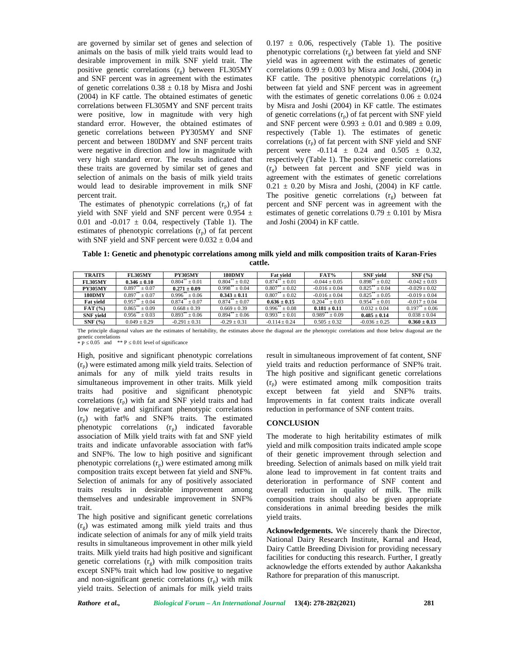are governed by similar set of genes and selection of animals on the basis of milk yield traits would lead to desirable improvement in milk SNF yield trait. The positive genetic correlations  $(r<sub>o</sub>)$  between FL305MY and SNF percent was in agreement with the estimates of genetic correlations  $0.38 \pm 0.18$  by Misra and Joshi (2004) in KF cattle. The obtained estimates of genetic correlations between FL305MY and SNF percent traits were positive, low in magnitude with very high standard error. However, the obtained estimates of genetic correlations between PY305MY and SNF percent and between 180DMY and SNF percent traits were negative in direction and low in magnitude with very high standard error. The results indicated that these traits are governed by similar set of genes and selection of animals on the basis of milk yield traits would lead to desirable improvement in milk SNF percent trait.

The estimates of phenotypic correlations  $(r_p)$  of fat yield with SNF yield and SNF percent were 0.954  $\pm$ 0.01 and  $-0.017 \pm 0.04$ , respectively (Table 1). The estimates of phenotypic correlations  $(r_p)$  of fat percent with SNF yield and SNF percent were  $0.032 \pm 0.04$  and  $0.197 \pm 0.06$ , respectively (Table 1). The positive phenotypic correlations  $(r<sub>o</sub>)$  between fat yield and SNF yield was in agreement with the estimates of genetic correlations  $0.99 \pm 0.003$  by Misra and Joshi, (2004) in KF cattle. The positive phenotypic correlations  $(r_0)$ between fat yield and SNF percent was in agreement with the estimates of genetic correlations  $0.06 \pm 0.024$ by Misra and Joshi (2004) in KF cattle. The estimates of genetic correlations  $(r_p)$  of fat percent with SNF yield and SNF percent were  $0.993 \pm 0.01$  and  $0.989 \pm 0.09$ , respectively (Table 1). The estimates of genetic correlations  $(r_p)$  of fat percent with SNF yield and SNF percent were  $-0.114 \pm 0.24$  and  $0.505 \pm 0.32$ , respectively (Table 1). The positive genetic correlations  $(r<sub>o</sub>)$  between fat percent and SNF yield was in agreement with the estimates of genetic correlations  $0.21 \pm 0.20$  by Misra and Joshi, (2004) in KF cattle. The positive genetic correlations  $(r_g)$  between fat percent and SNF percent was in agreement with the estimates of genetic correlations  $0.79 \pm 0.101$  by Misra and Joshi (2004) in KF cattle.

**Table 1: Genetic and phenotypic correlations among milk yield and milk composition traits of Karan-Fries cattle.**

| <b>TRAITS</b>    | <b>FL305MY</b>                   | <b>PY305MY</b>            | <b>180DMY</b>                      | <b>Fat vield</b>     | FAT%                  | <b>SNF</b> vield                        | SNF(%)                |
|------------------|----------------------------------|---------------------------|------------------------------------|----------------------|-----------------------|-----------------------------------------|-----------------------|
| <b>FL305MY</b>   | $0.346 \pm 0.10$                 | 0.804<br>$\pm 0.01$       | 0.804<br>$\pm 0.02$                | 0.874<br>$\pm 0.01$  | $-0.044 \pm 0.05$     | 0.898<br>$\pm 0.02$                     | $-0.042 + 0.03$       |
| <b>PY305MY</b>   | $+0.07$<br>0.897                 | $0.271 \pm 0.09$          | $0.998$ <sup>*</sup><br>$\pm 0.04$ | 0.807<br>$+0.02$     | $-0.016 + 0.04$       | 0.825<br>$+0.04$                        | $-0.029 + 0.02$       |
| <b>180DMY</b>    | $+0.07$<br>0.897                 | $^*$ ± 0.06<br>$0.996***$ | $0.343 \pm 0.11$                   | 0.807<br>$+0.02$     | $-0.016 + 0.04$       | $0.825***$<br>$+0.05$                   | $-0.019 + 0.04$       |
| <b>Fat vield</b> | $\pm 0.04$<br>0.957              | $^*$ ± 0.07<br>0.874      | $0.874^{\degree} \pm 0.07$         | $0.636 \pm 0.15$     | $0.204^{**} \pm 0.03$ | $0.954$ <sup>*</sup><br>$^*$ $\pm$ 0.01 | $-0.017 + 0.04$       |
| FAT(%)           | $0.865^{**} \pm 0.09$            | $0.668 \pm 0.39$          | $0.669 \pm 0.39$                   | $0.996**$<br>$+0.08$ | $0.181 \pm 0.11$      | $0.032 + 0.04$                          | $0.197^{**} \pm 0.06$ |
| <b>SNF</b> vield | $\pm 0.03$<br>$0.956$ $^{\circ}$ | 0.893<br>$+0.06$          | $\tilde{ }$ $\pm 0.06$<br>0.894    | 0.993<br>$+0.01$     | $0.989^{**} \pm 0.09$ | $0.485 \pm 0.14$                        | $0.038 + 0.04$        |
| SNF(%)           | $0.049 \pm 0.29$                 | $-0.291 \pm 0.31$         | $-0.29 \pm 0.31$                   | $-0.114 \pm 0.24$    | $0.505 \pm 0.32$      | $-0.036 \pm 0.25$                       | $0.360 \pm 0.13$      |

The principle diagonal values are the estimates of heritability, the estimates above the diagonal are the phenotypic correlations and those below diagonal are the

genetic correlations<br> \* P  $0.05$  and \*\* P  $0.01$  level of significance

High, positive and significant phenotypic correlations (rp) were estimated among milk yield traits. Selection of animals for any of milk yield traits results in simultaneous improvement in other traits. Milk yield traits had positive and significant phenotypic correlations  $(r_n)$  with fat and SNF yield traits and had low negative and significant phenotypic correlations (rp) with fat% and SNF% traits. The estimated phenotypic correlations  $(r_p)$  indicated favorable association of Milk yield traits with fat and SNF yield traits and indicate unfavorable association with fat% and SNF%. The low to high positive and significant phenotypic correlations  $(r_p)$  were estimated among milk composition traits except between fat yield and SNF%. Selection of animals for any of positively associated traits results in desirable improvement among themselves and undesirable improvement in SNF% trait.

The high positive and significant genetic correlations  $(r<sub>g</sub>)$  was estimated among milk yield traits and thus indicate selection of animals for any of milk yield traits results in simultaneous improvement in other milk yield traits. Milk yield traits had high positive and significant genetic correlations  $(r<sub>o</sub>)$  with milk composition traits except SNF% trait which had low positive to negative and non-significant genetic correlations  $(r<sub>n</sub>)$  with milk yield traits. Selection of animals for milk yield traits

result in simultaneous improvement of fat content, SNF yield traits and reduction performance of SNF% trait. The high positive and significant genetic correlations  $(r_n)$  were estimated among milk composition traits except between fat yield and SNF% traits. Improvements in fat content traits indicate overall reduction in performance of SNF content traits.

## **CONCLUSION**

The moderate to high heritability estimates of milk yield and milk composition traits indicated ample scope of their genetic improvement through selection and breeding. Selection of animals based on milk yield trait alone lead to improvement in fat content traits and deterioration in performance of SNF content and overall reduction in quality of milk. The milk composition traits should also be given appropriate considerations in animal breeding besides the milk yield traits.

**Acknowledgements.** We sincerely thank the Director, National Dairy Research Institute, Karnal and Head, Dairy Cattle Breeding Division for providing necessary facilities for conducting this research. Further, I greatly acknowledge the efforts extended by author Aakanksha Rathore for preparation of this manuscript.